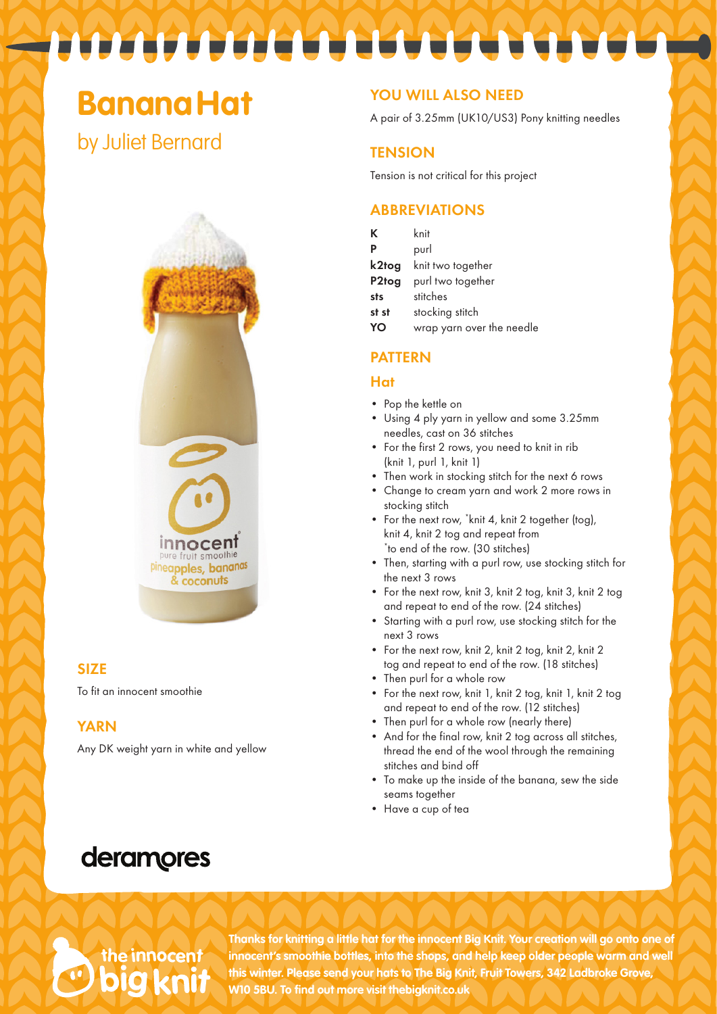## **BananaHat**

by Juliet Bernard



#### **SIZE**

To fit an innocent smoothie

#### **YARN**

Any DK weight yarn in white and yellow

#### YOU WILL ALSO NEED

A pair of 3.25mm (UK10/US3) Pony knitting needles

#### **TENSION**

Tension is not critical for this project

#### **ABBREVIATIONS**

| Κ                  | knit                      |
|--------------------|---------------------------|
| P                  | purl                      |
| k2tog              | knit two together         |
| P <sub>2</sub> tog | purl two together         |
| sts                | stitches                  |
| st st              | stocking stitch           |
|                    | wrap yarn over the needle |

#### PATTERN

#### Hat

- Pop the kettle on
- Using 4 ply yarn in yellow and some 3.25mm needles, cast on 36 stitches
- For the first 2 rows, you need to knit in rib (knit 1, purl 1, knit 1)
- Then work in stocking stitch for the next 6 rows
- Change to cream yarn and work 2 more rows in stocking stitch
- For the next row, 'knit 4, knit 2 together (tog), knit 4, knit 2 tog and repeat from \* to end of the row. (30 stitches)
- Then, starting with a purl row, use stocking stitch for the next 3 rows
- For the next row, knit 3, knit 2 tog, knit 3, knit 2 tog and repeat to end of the row. (24 stitches)
- Starting with a purl row, use stocking stitch for the next 3 rows
- For the next row, knit 2, knit 2 tog, knit 2, knit 2 tog and repeat to end of the row. (18 stitches)
- Then purl for a whole row
- For the next row, knit 1, knit 2 tog, knit 1, knit 2 tog and repeat to end of the row. (12 stitches)
- Then purl for a whole row (nearly there)
- And for the final row, knit 2 tog across all stitches, thread the end of the wool through the remaining stitches and bind off
- To make up the inside of the banana, sew the side seams together
- Have a cup of tea

## deramores

# the innocent

**Thanks for knitting a little hat for the innocent Big Knit. Your creation will go onto one of innocent's smoothie bottles, into the shops, and help keep older people warm and well this winter. Please send your hats to The Big Knit, Fruit Towers, 342 Ladbroke Grove, W10 5BU. To find out more visit thebigknit.co.uk**